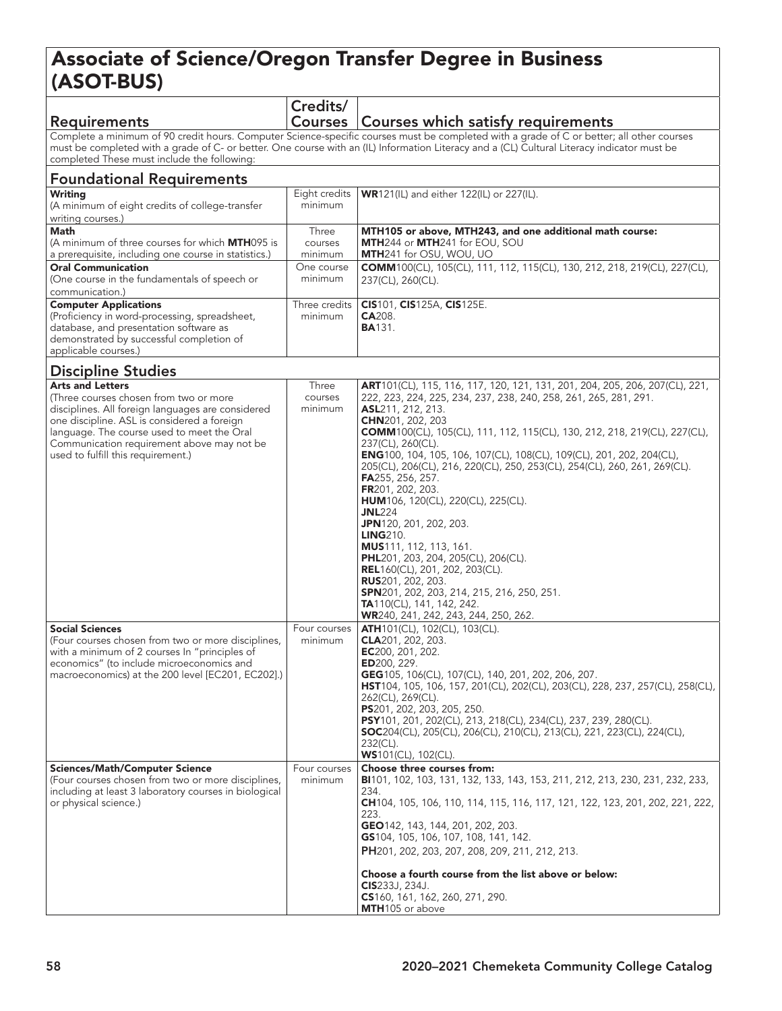## Associate of Science/Oregon Transfer Degree in Business (ASOT-BUS)

| <b>Requirements</b>                                                                                                                                                                                                                                                                                                                     | Credits/                    | Courses   Courses which satisfy requirements                                                                                                                                                                                                                                                                                                                                                                                                                                                                                                                                                                                                                                                                                                                                                                                                                                                    |  |
|-----------------------------------------------------------------------------------------------------------------------------------------------------------------------------------------------------------------------------------------------------------------------------------------------------------------------------------------|-----------------------------|-------------------------------------------------------------------------------------------------------------------------------------------------------------------------------------------------------------------------------------------------------------------------------------------------------------------------------------------------------------------------------------------------------------------------------------------------------------------------------------------------------------------------------------------------------------------------------------------------------------------------------------------------------------------------------------------------------------------------------------------------------------------------------------------------------------------------------------------------------------------------------------------------|--|
| Complete a minimum of 90 credit hours. Computer Science-specific courses must be completed with a grade of C or better; all other courses<br>must be completed with a grade of C- or better. One course with an (IL) Information Literacy and a (CL) Cultural Literacy indicator must be<br>completed These must include the following: |                             |                                                                                                                                                                                                                                                                                                                                                                                                                                                                                                                                                                                                                                                                                                                                                                                                                                                                                                 |  |
| <b>Foundational Requirements</b>                                                                                                                                                                                                                                                                                                        |                             |                                                                                                                                                                                                                                                                                                                                                                                                                                                                                                                                                                                                                                                                                                                                                                                                                                                                                                 |  |
| <b>Writing</b><br>(A minimum of eight credits of college-transfer<br>writing courses.)                                                                                                                                                                                                                                                  | Eight credits<br>minimum    | WR121(IL) and either 122(IL) or 227(IL).                                                                                                                                                                                                                                                                                                                                                                                                                                                                                                                                                                                                                                                                                                                                                                                                                                                        |  |
| <b>Math</b><br>(A minimum of three courses for which <b>MTH</b> 095 is<br>a prerequisite, including one course in statistics.)                                                                                                                                                                                                          | Three<br>courses<br>minimum | MTH105 or above, MTH243, and one additional math course:<br>MTH244 or MTH241 for EOU, SOU<br>MTH241 for OSU, WOU, UO                                                                                                                                                                                                                                                                                                                                                                                                                                                                                                                                                                                                                                                                                                                                                                            |  |
| <b>Oral Communication</b><br>(One course in the fundamentals of speech or<br>communication.)                                                                                                                                                                                                                                            | One course<br>minimum       | COMM100(CL), 105(CL), 111, 112, 115(CL), 130, 212, 218, 219(CL), 227(CL),<br>237(CL), 260(CL).                                                                                                                                                                                                                                                                                                                                                                                                                                                                                                                                                                                                                                                                                                                                                                                                  |  |
| <b>Computer Applications</b><br>(Proficiency in word-processing, spreadsheet,<br>database, and presentation software as<br>demonstrated by successful completion of<br>applicable courses.)                                                                                                                                             | Three credits<br>minimum    | CIS101, CIS125A, CIS125E.<br>CA208.<br><b>BA131.</b>                                                                                                                                                                                                                                                                                                                                                                                                                                                                                                                                                                                                                                                                                                                                                                                                                                            |  |
| <b>Discipline Studies</b>                                                                                                                                                                                                                                                                                                               |                             |                                                                                                                                                                                                                                                                                                                                                                                                                                                                                                                                                                                                                                                                                                                                                                                                                                                                                                 |  |
| <b>Arts and Letters</b><br>(Three courses chosen from two or more<br>disciplines. All foreign languages are considered<br>one discipline. ASL is considered a foreign<br>language. The course used to meet the Oral<br>Communication requirement above may not be<br>used to fulfill this requirement.)                                 | Three<br>courses<br>minimum | ART101(CL), 115, 116, 117, 120, 121, 131, 201, 204, 205, 206, 207(CL), 221,<br>222, 223, 224, 225, 234, 237, 238, 240, 258, 261, 265, 281, 291.<br>ASL211, 212, 213.<br>CHN201, 202, 203<br><b>COMM</b> 100(CL), 105(CL), 111, 112, 115(CL), 130, 212, 218, 219(CL), 227(CL),<br>237(CL), 260(CL).<br>ENG100, 104, 105, 106, 107(CL), 108(CL), 109(CL), 201, 202, 204(CL),<br>205(CL), 206(CL), 216, 220(CL), 250, 253(CL), 254(CL), 260, 261, 269(CL).<br>FA255, 256, 257.<br>FR201, 202, 203.<br><b>HUM</b> 106, 120(CL), 220(CL), 225(CL).<br><b>JNL</b> 224<br><b>JPN</b> 120, 201, 202, 203.<br><b>LING210.</b><br><b>MUS</b> 111, 112, 113, 161.<br><b>PHL</b> 201, 203, 204, 205(CL), 206(CL).<br><b>REL</b> 160(CL), 201, 202, 203(CL).<br><b>RUS</b> 201, 202, 203.<br>SPN201, 202, 203, 214, 215, 216, 250, 251.<br>TA110(CL), 141, 142, 242.<br>WR240, 241, 242, 243, 244, 250, 262. |  |
| <b>Social Sciences</b><br>(Four courses chosen from two or more disciplines,<br>with a minimum of 2 courses In "principles of<br>economics" (to include microeconomics and<br>macroeconomics) at the 200 level [EC201, EC202].)                                                                                                         | Four courses<br>minimum     | ATH101(CL), 102(CL), 103(CL).<br>CLA201, 202, 203.<br>EC200, 201, 202.<br>ED200, 229.<br>GEG105, 106(CL), 107(CL), 140, 201, 202, 206, 207.<br>HST104, 105, 106, 157, 201(CL), 202(CL), 203(CL), 228, 237, 257(CL), 258(CL),<br>262(CL), 269(CL).<br>PS201, 202, 203, 205, 250.<br>PSY101, 201, 202(CL), 213, 218(CL), 234(CL), 237, 239, 280(CL).<br><b>SOC</b> 204(CL), 205(CL), 206(CL), 210(CL), 213(CL), 221, 223(CL), 224(CL),<br>232(CL).<br><b>WS</b> 101(CL), 102(CL).                                                                                                                                                                                                                                                                                                                                                                                                                 |  |
| <b>Sciences/Math/Computer Science</b><br>(Four courses chosen from two or more disciplines,<br>including at least 3 laboratory courses in biological<br>or physical science.)                                                                                                                                                           | Four courses<br>minimum     | Choose three courses from:<br>BI101, 102, 103, 131, 132, 133, 143, 153, 211, 212, 213, 230, 231, 232, 233,<br>234.<br>CH104, 105, 106, 110, 114, 115, 116, 117, 121, 122, 123, 201, 202, 221, 222,<br>223.<br>GEO142, 143, 144, 201, 202, 203.<br>GS104, 105, 106, 107, 108, 141, 142.<br>PH201, 202, 203, 207, 208, 209, 211, 212, 213.<br>Choose a fourth course from the list above or below:<br><b>CIS</b> 233J, 234J.<br>CS160, 161, 162, 260, 271, 290.<br>MTH105 or above                                                                                                                                                                                                                                                                                                                                                                                                                |  |